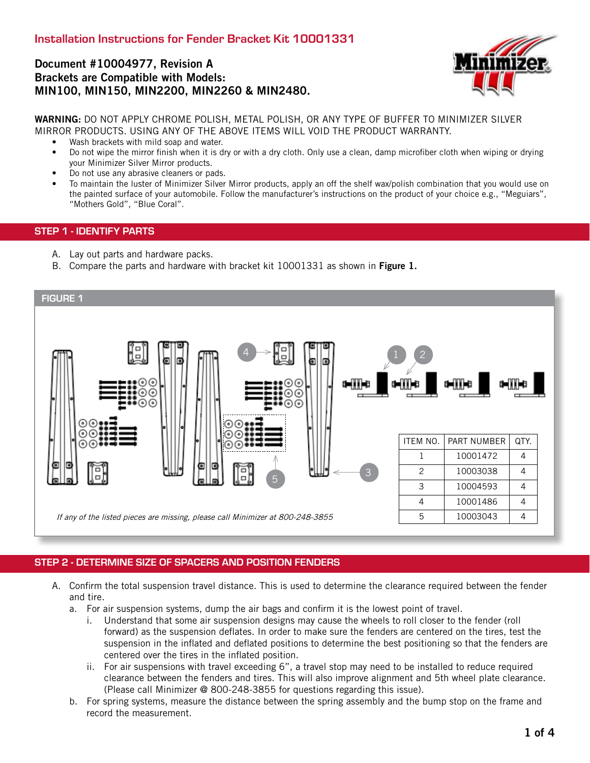### Document #10004977, Revision A Brackets are Compatible with Models: MIN100, MIN150, MIN2200, MIN2260 & MIN2480.



WARNING: DO NOT APPLY CHROME POLISH, METAL POLISH, OR ANY TYPE OF BUFFER TO MINIMIZER SILVER MIRROR PRODUCTS. USING ANY OF THE ABOVE ITEMS WILL VOID THE PRODUCT WARRANTY.

- Wash brackets with mild soap and water.
- Do not wipe the mirror finish when it is dry or with a dry cloth. Only use a clean, damp microfiber cloth when wiping or drying your Minimizer Silver Mirror products.
- Do not use any abrasive cleaners or pads.
- To maintain the luster of Minimizer Silver Mirror products, apply an off the shelf wax/polish combination that you would use on the painted surface of your automobile. Follow the manufacturer's instructions on the product of your choice e.g., "Meguiars", "Mothers Gold", "Blue Coral".

#### STEP 1 - IDENTIFY PARTS

- A. Lay out parts and hardware packs.
- B. Compare the parts and hardware with bracket kit 10001331 as shown in Figure 1.



### STEP 2 - DETERMINE SIZE OF SPACERS AND POSITION FENDERS

- A. Confirm the total suspension travel distance. This is used to determine the clearance required between the fender and tire.
	- a. For air suspension systems, dump the air bags and confirm it is the lowest point of travel.
		- i. Understand that some air suspension designs may cause the wheels to roll closer to the fender (roll forward) as the suspension deflates. In order to make sure the fenders are centered on the tires, test the suspension in the inflated and deflated positions to determine the best positioning so that the fenders are centered over the tires in the inflated position.
		- ii. For air suspensions with travel exceeding 6", a travel stop may need to be installed to reduce required clearance between the fenders and tires. This will also improve alignment and 5th wheel plate clearance. (Please call Minimizer @ 800-248-3855 for questions regarding this issue).
	- b. For spring systems, measure the distance between the spring assembly and the bump stop on the frame and record the measurement.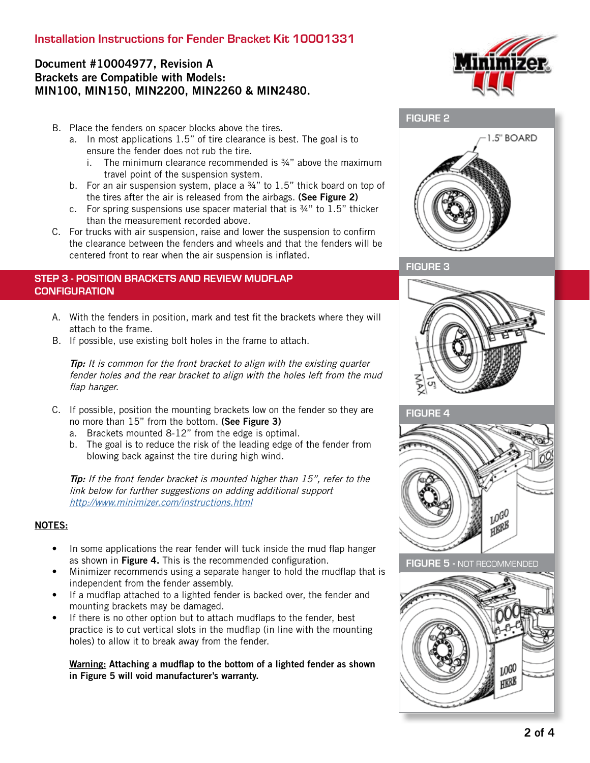# Installation Instructions for Fender Bracket Kit 10001331

# Document #10004977, Revision A Brackets are Compatible with Models: MIN100, MIN150, MIN2200, MIN2260 & MIN2480.

- B. Place the fenders on spacer blocks above the tires.
	- a. In most applications 1.5" of tire clearance is best. The goal is to ensure the fender does not rub the tire.
		- i. The minimum clearance recommended is  $\frac{3}{4}$ " above the maximum travel point of the suspension system.
	- b. For an air suspension system, place a 34" to 1.5" thick board on top of the tires after the air is released from the airbags. (See Figure 2)
	- c. For spring suspensions use spacer material that is ¾" to 1.5" thicker than the measurement recorded above.
- C. For trucks with air suspension, raise and lower the suspension to confirm the clearance between the fenders and wheels and that the fenders will be centered front to rear when the air suspension is inflated.

### STEP 3 - POSITION BRACKETS AND REVIEW MUDFLAP **CONFIGURATION**

- A. With the fenders in position, mark and test fit the brackets where they will attach to the frame.
- B. If possible, use existing bolt holes in the frame to attach.

**Tip:** It is common for the front bracket to align with the existing quarter fender holes and the rear bracket to align with the holes left from the mud flap hanger.

- C. If possible, position the mounting brackets low on the fender so they are no more than 15" from the bottom. (See Figure 3)
	- a. Brackets mounted 8-12" from the edge is optimal.
	- b. The goal is to reduce the risk of the leading edge of the fender from blowing back against the tire during high wind.

Tip: If the front fender bracket is mounted higher than 15", refer to the link below for further suggestions on adding additional support <http://www.minimizer.com/instructions.html>

#### NOTES:

- In some applications the rear fender will tuck inside the mud flap hanger as shown in Figure 4. This is the recommended configuration.
- Minimizer recommends using a separate hanger to hold the mudflap that is independent from the fender assembly.
- If a mudflap attached to a lighted fender is backed over, the fender and mounting brackets may be damaged.
- If there is no other option but to attach mudflaps to the fender, best practice is to cut vertical slots in the mudflap (in line with the mounting holes) to allow it to break away from the fender.

#### Warning: Attaching a mudflap to the bottom of a lighted fender as shown in Figure 5 will void manufacturer's warranty.



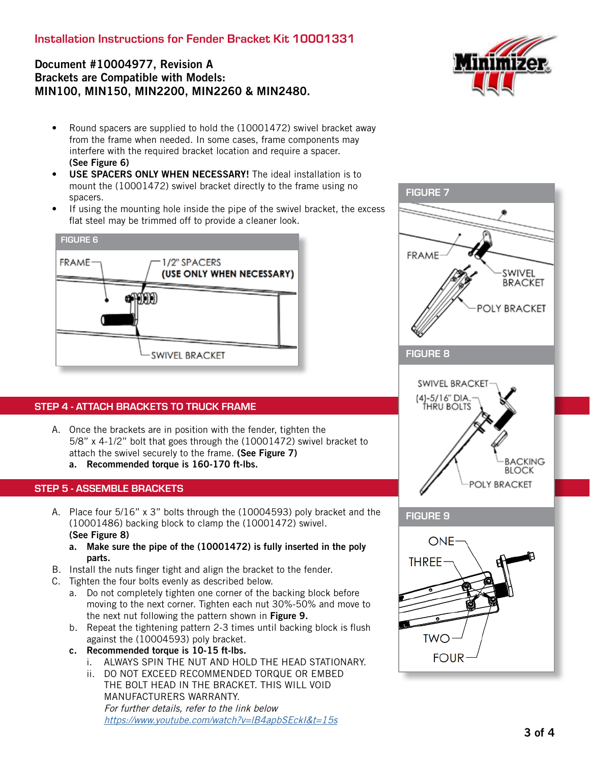# Installation Instructions for Fender Bracket Kit 10001331

# Document #10004977, Revision A Brackets are Compatible with Models: MIN100, MIN150, MIN2200, MIN2260 & MIN2480.



- Round spacers are supplied to hold the (10001472) swivel bracket away from the frame when needed. In some cases, frame components may interfere with the required bracket location and require a spacer. (See Figure 6)
- USE SPACERS ONLY WHEN NECESSARY! The ideal installation is to mount the (10001472) swivel bracket directly to the frame using no spacers.
- If using the mounting hole inside the pipe of the swivel bracket, the excess flat steel may be trimmed off to provide a cleaner look.



### STEP 4 - ATTACH BRACKETS TO TRUCK FRAME

A. Once the brackets are in position with the fender, tighten the 5/8" x 4-1/2" bolt that goes through the (10001472) swivel bracket to attach the swivel securely to the frame. (See Figure 7) a. Recommended torque is 160-170 ft-lbs.

#### STEP 5 - ASSEMBLE BRACKETS

- A. Place four 5/16" x 3" bolts through the (10004593) poly bracket and the (10001486) backing block to clamp the (10001472) swivel. (See Figure 8)
	- a. Make sure the pipe of the (10001472) is fully inserted in the poly parts.
- B. Install the nuts finger tight and align the bracket to the fender.
- C. Tighten the four bolts evenly as described below.
	- a. Do not completely tighten one corner of the backing block before moving to the next corner. Tighten each nut 30%-50% and move to the next nut following the pattern shown in Figure 9.
	- b. Repeat the tightening pattern 2-3 times until backing block is flush against the (10004593) poly bracket.
	- c. Recommended torque is 10-15 ft-lbs.
		- i. ALWAYS SPIN THE NUT AND HOLD THE HEAD STATIONARY.
		- ii. DO NOT EXCEED RECOMMENDED TORQUE OR EMBED THE BOLT HEAD IN THE BRACKET. THIS WILL VOID MANUFACTURERS WARRANTY. For further details, refer to the link below [https://www.youtube.com/watch?v=lB4apbSEckI&t=15s]( https://www.youtube.com/watch?v=lB4apbSEckI&t=15s)



**TWO** 

**FOUR**